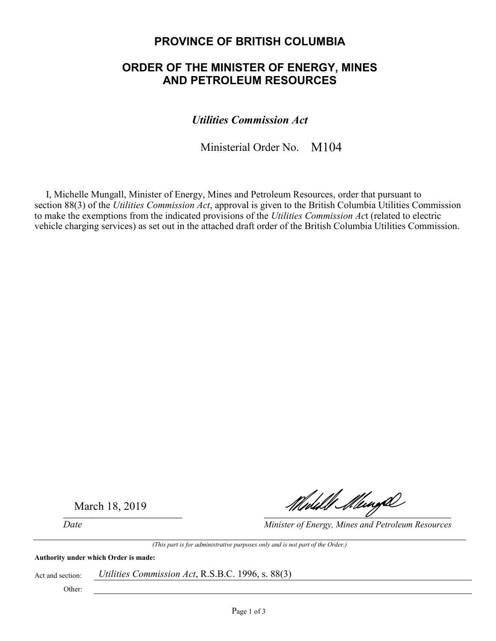# **PROVINCE OF BRITISH COLUMBIA**

# **ORDER OF THE MINISTER OF ENERGY, MINES AND PETROLEUM RESOURCES**

*Utilities Commission Act* 

Ministerial Order No. M104

I, Michelle Mungall, Minister of Energy, Mines and Petroleum Resources, order that pursuant to section 88(3) of the *Utilities Commission Act*, approval is given to the British Columbia Utilities Commission to make the exemptions from the indicated provisions of the *Utilities Commission Ac*t (related to electric vehicle charging services) as set out in the attached draft order of the British Columbia Utilities Commission.

March 18, 2019

Middll Mungh

*Date Minister of Energy, Mines and Petroleum Resources* 

*(This part is for administrative purposes only and is not part of the Order.)* 

**Authority under which Order is made:** 

Act and section: *Utilities Commission Act*, R.S.B.C. 1996, s. 88(3)

Other: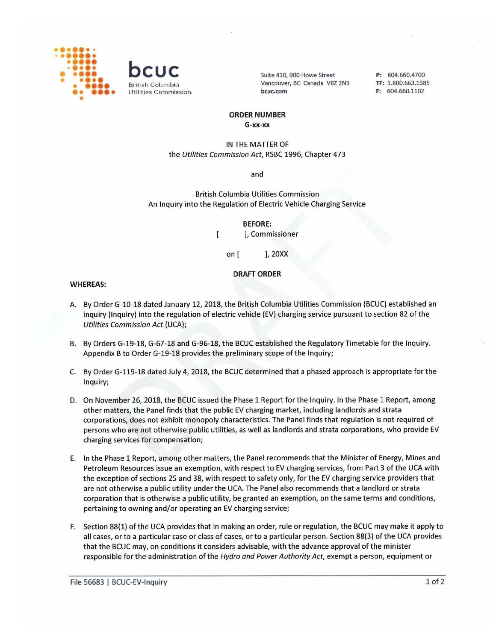



Suite 410, 900 Howe Street Vancouver, BC Canada V6Z 2N3 **bcuc.com** 

**P:** 604.660.4700 **TF:** 1.800.663.1385 **F:** 604.660.1102

### **ORDER NUMBER**

**G-xx-xx** 

## IN THE MATTER OF the Utilities Commission Act, RSBC 1996, Chapter 473

and

British Columbia Utilities Commission An Inquiry into the Regulation of Electric Vehicle Charging Service

> **BEFORE:**  ], Commissioner

on [ ], 20XX

 $\overline{1}$ 

### **DRAFT ORDER**

#### **WHEREAS:**

- A. By Order G-10-18 dated January 12, 2018, the British Columbia Utilities Commission (BCUC) established an inquiry (Inquiry) into the regulation of electric vehicle (EV) charging service pursuant to section 82 of the Utilities Commission Act (UCA);
- B. By Orders G-19-18, G-67-18 and G-96-18, the BCUC established the Regulatory Timetable for the Inquiry. Appendix B to Order G-19-18 provides the preliminary scope of the Inquiry;
- C. By Order G-119-18 dated July 4, 2018, the BCUC determined that a phased approach is appropriate for the Inquiry;
- D. On November 26, 2018, the BCUC issued the Phase 1 Report for the Inquiry. In the Phase 1 Report, among other matters, the Panel finds that the public EV charging market, including landlords and strata corporations, does not exhibit monopoly characteristics. The Panel finds that regulation is not required of persons who are not otherwise public utilities, as well as landlords and strata corporations, who provide EV charging services for compensation;
- E. In the Phase 1 Report, among other matters, the Panel recommends that the Minister of Energy, Mines and Petroleum Resources issue an exemption, with respect to EV charging services, from Part 3 of the UCA with the exception of sections 25 and 38, with respect to safety only, for the EV charging service providers that are not otherwise a public utility under the UCA. The Panel also recommends that a landlord or strata corporation that is otherwise a public utility, be granted an exemption, on the same terms and conditions, pertaining to owning and/or operating an EV charging service;
- F. Section 88(1) of the UCA provides that in making an order, rule or regulation, the BCUC may make it apply to all cases, or to a particular case or class of cases, or to a particular person. Section 88(3) of the UCA provides that the BCUC may, on conditions it considers advisable, with the advance approval of the minister responsible for the administration of the Hydro and Power Authority Act, exempt a person, equipment or